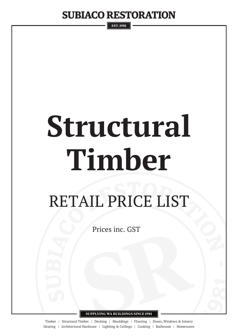**EST. 1981** 

# **Structural Timber**

## RETAIL PRICE LIST

Prices inc. GST

**SUPPLYING WA BUILDINGS SINCE 1981**

Timber | Structural Timber | Decking | Mouldings | Flooring | Doors, Windows & Joinery Heating | Architectural Hardware | Lighting & Ceilings | Cooking | Bathroom | Homewares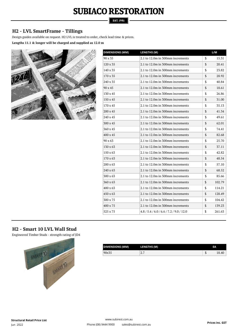**EST. 1981** 

#### **H2 - LVL SmartFrame - Tillings**

Design guides available on request. H2 LVL is treated to order, check lead time & prices.

**Lengths 11.1 & longer will be charged and supplied as 12.0 m**



| <b>DIMENSIONS (MM)</b> | <b>LENGTHS (M)</b>                         | L/M          |
|------------------------|--------------------------------------------|--------------|
| 90 x 35                | 2.1 to 12.0m in 300mm increments           | \$<br>15.31  |
| 120 x 35               | 2.1 to 12.0m in 300mm increments           | \$<br>20.41  |
| 140 x 35               | 2.1 to 12.0m in 300mm increments           | \$<br>23.82  |
| 170 x 35               | 2.1 to 12.0m in 300mm increments           | \$<br>28.92  |
| 240 x 35               | 2.1 to 12.0m in 300mm increments           | \$<br>40.84  |
| 90 x 45                | 2.1 to 12.0m in 300mm increments           | \$<br>18.61  |
| 130 x 45               | 2.1 to 12.0m in 300mm increments           | \$<br>26.86  |
| 150 x 45               | 2.1 to 12.0m in 300mm increments           | \$<br>31.00  |
| 170 x 45               | 2.1 to 12.0m in 300mm increments           | \$<br>35.13  |
| 200 x 45               | 2.1 to 12.0m in 300mm increments           | \$<br>41.34  |
| 240 x 45               | 2.1 to 12.0m in 300mm increments           | \$<br>49.61  |
| 300 x 45               | 2.1 to 12.0m in 300mm increments           | \$<br>62.01  |
| 360 x 45               | 2.1 to 12.0m in 300mm increments           | \$<br>74.41  |
| 400 x 45               | 2.1 to 12.0m in 300mm increments           | \$<br>82.68  |
| 90 x 63                | 2.1 to 12.0m in 300mm increments           | \$<br>25.70  |
| 130 x 63               | 2.1 to 12.0m in 300mm increments           | \$<br>37.11  |
| $150 \times 63$        | 2.1 to 12.0m in 300mm increments           | \$<br>42.82  |
| $170 \times 63$        | 2.1 to 12.0m in 300mm increments           | \$<br>48.54  |
| 200 x 63               | 2.1 to 12.0m in 300mm increments           | \$<br>57.10  |
| 240 x 63               | 2.1 to 12.0m in 300mm increments           | \$<br>68.52  |
| 300 x 63               | 2.1 to 12.0m in 300mm increments           | \$<br>85.66  |
| 360 x 63               | 2.1 to 12.0m in 300mm increments           | \$<br>102.79 |
| 400 x 63               | 2.1 to 12.0m in 300mm increments           | \$<br>114.21 |
| $450 \times 63$        | 2.1 to 12.0m in 300mm increments           | \$<br>128.49 |
| 300 x 75               | 2.1 to 12.0m in 300mm increments           | \$<br>104.42 |
| 400 x 75               | 2.1 to 12.0m in 300mm increments           | \$<br>139.23 |
| 525 x 75               | $4.8 / 5.4 / 6.0 / 6.6 / 7.2 / 9.0 / 12.0$ | \$<br>261.63 |

#### **H2 - Smart 10 LVL Wall Stud**

Engineered Timber Studs - strength rating of JD4



| DIMENSIONS (MM) | <b>LENGTHS (M)</b> |    | EА         |
|-----------------|--------------------|----|------------|
| 90x35           | -<br>4.1           | ٠D | 40<br>18.4 |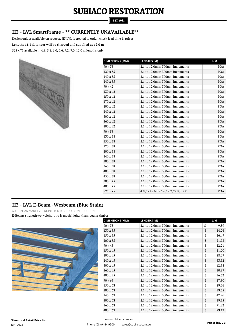#### **EST. 1981**

#### **H3 - LVL SmartFrame - \*\* CURRENTLY UNAVAILABLE\*\***

Design guides available on request. H3 LVL is treated to order, check lead time & prices.

#### **Lengths 11.1 & longer will be charged and supplied as 12.0 m**

525 x 75 available in 4.8, 5.4, 6.0, 6.6, 7.2, 9.0, 12.0 m lengths only.



| <b>DIMENSIONS (MM)</b> | <b>LENGTHS (M)</b>                         | L/M        |
|------------------------|--------------------------------------------|------------|
| 90 x 35                | 2.1 to 12.0m in 300mm increments           | POA        |
| 120 x 35               | 2.1 to 12.0m in 300mm increments           | <b>POA</b> |
| 140 x 35               | 2.1 to 12.0m in 300mm increments           | <b>POA</b> |
| 240 x 35               | 2.1 to 12.0m in 300mm increments           | <b>POA</b> |
| 90 x 42                | 2.1 to 12.0m in 300mm increments           | <b>POA</b> |
| 130 x 42               | 2.1 to 12.0m in 300mm increments           | <b>POA</b> |
| 150 x 42               | 2.1 to 12.0m in 300mm increments           | POA        |
| 170 x 42               | 2.1 to 12.0m in 300mm increments           | <b>POA</b> |
| 200 x 42               | 2.1 to 12.0m in 300mm increments           | <b>POA</b> |
| 240 x 42               | 2.1 to 12.0m in 300mm increments           | <b>POA</b> |
| 300 x 42               | 2.1 to 12.0m in 300mm increments           | <b>POA</b> |
| 360 x 42               | 2.1 to 12.0m in 300mm increments           | <b>POA</b> |
| 400 x 42               | 2.1 to 12.0m in 300mm increments           | <b>POA</b> |
| $90 \times 58$         | 2.1 to 12.0m in 300mm increments           | <b>POA</b> |
| 130 x 58               | 2.1 to 12.0m in 300mm increments           | <b>POA</b> |
| 150 x 58               | 2.1 to 12.0m in 300mm increments           | POA        |
| 170 x 58               | 2.1 to 12.0m in 300mm increments           | <b>POA</b> |
| $200 \times 58$        | 2.1 to 12.0m in 300mm increments           | <b>POA</b> |
| 240 x 58               | 2.1 to 12.0m in 300mm increments           | <b>POA</b> |
| 300 x 58               | 2.1 to 12.0m in 300mm increments           | <b>POA</b> |
| 360 x 58               | 2.1 to 12.0m in 300mm increments           | <b>POA</b> |
| 400 x 58               | 2.1 to 12.0m in 300mm increments           | <b>POA</b> |
| 450 x 58               | 2.1 to 12.0m in 300mm increments           | <b>POA</b> |
| 300 x 75               | 2.1 to 12.0m in 300mm increments           | <b>POA</b> |
| 400 x 75               | 2.1 to 12.0m in 300mm increments           | <b>POA</b> |
| 525 x 75               | $4.8 / 5.4 / 6.0 / 6.6 / 7.2 / 9.0 / 12.0$ | POA        |

#### **H2 - LVL E-Beam -Wesbeam (Blue Stain)**

AUSTRALIAN MADE LVL ENGINEERED FOR ROOF CONSTRUCTION

E-Beams strength-to-weight ratio is much higher than regular timber



| <b>DIMENSIONS (MM)</b> | <b>LENGTHS (M)</b>               | L/M         |
|------------------------|----------------------------------|-------------|
| 90 x 35                | 2.1 to 12.6m in 300mm increments | \$<br>9.89  |
| 130 x 35               | 2.1 to 12.6m in 300mm increments | \$<br>14.26 |
| 150 x 35               | 2.1 to 12.6m in 300mm increments | \$<br>16.49 |
| $200 \times 35$        | 2.1 to 12.6m in 300mm increments | \$<br>21.98 |
| 90 x 45                | 2.1 to 12.6m in 300mm increments | \$<br>12.71 |
| $150 \times 45$        | 2.1 to 12.6m in 300mm increments | \$<br>21.20 |
| $200 \times 45$        | 2.1 to 12.6m in 300mm increments | \$<br>28.29 |
| 240 x 45               | 2.1 to 12.6m in 300mm increments | \$<br>33.92 |
| 300 x 45               | 2.1 to 12.6m in 300mm increments | \$<br>42.38 |
| 360 x 45               | 2.1 to 12.6m in 300mm increments | \$<br>50.89 |
| 400 x 45               | 2.1 to 12.6m in 300mm increments | \$<br>56.52 |
| $90 \times 63$         | 2.1 to 12.6m in 300mm increments | \$<br>17.80 |
| $150 \times 63$        | 2.1 to 12.6m in 300mm increments | \$<br>29.66 |
| 200 x 63               | 2.1 to 12.6m in 300mm increments | \$<br>39.55 |
| 240 x 63               | 2.1 to 12.6m in 300mm increments | \$<br>47.46 |
| 300 x 63               | 2.1 to 12.6m in 300mm increments | \$<br>59.35 |
| 360 x 63               | 2.1 to 12.6m in 300mm increments | \$<br>71.22 |
| $400 \times 63$        | 2.1 to 12.6m in 300mm increments | \$<br>79.13 |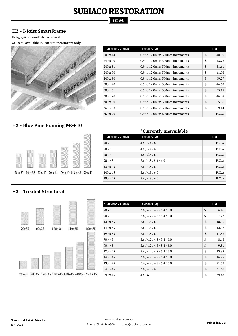#### **EST. 1981**

#### **H2 - I-Joist SmartFrame**

Design guides available on request.

**360 x 90 available in 600 mm increments only.**



| <b>DIMENSIONS (MM)</b> | <b>LENGTHS (M)</b>                 |    | L/M   |
|------------------------|------------------------------------|----|-------|
| $200 \times 44$        | 0.9 to 12.0m in 300mm increments   | \$ | 40.93 |
| $240 \times 40$        | $0.9$ to 12.0m in 300mm increments | \$ | 43.76 |
| $240 \times 51$        | 0.9 to 12.0m in 300mm increments   | \$ | 51.61 |
| $240 \times 70$        | 0.9 to 12.0m in 300mm increments   | \$ | 41.08 |
| $240 \times 90$        | 0.9 to 12.0m in 300mm increments   | \$ | 69.27 |
| $300 \times 40$        | 0.9 to 12.0m in 300mm increments   | \$ | 46.63 |
| $300 \times 51$        | 0.9 to 12.0m in 300mm increments   | \$ | 55.15 |
| $300 \times 70$        | $0.9$ to 12.0m in 300mm increments | \$ | 46.08 |
| $300 \times 90$        | 0.9 to 12.0m in 300mm increments   | \$ | 85.61 |
| $360 \times 58$        | 0.9 to 12.0m in 300mm increments   | \$ | 69.14 |
| $360 \times 90$        | 0.9 to 12.0m in 600mm increments   |    | P.O.A |

#### **H2 - Blue Pine Framing MGP10**



|                        | <i>*</i> Currently unavailable |       |
|------------------------|--------------------------------|-------|
| <b>DIMENSIONS (MM)</b> | <b>LENGTHS (M)</b>             | L/M   |
| 70 x 35                | 4.8/5.4/6.0                    | P.O.A |
| 90 x 35                | 4.8/5.4/6.0                    | P.O.A |
| 70 x 45                | 4.8/5.4/6.0                    | P.O.A |
| $90 \times 45$         | 3.6 / 4.8 / 5.4 / 6.0          | P.O.A |
| $120 \times 45$        | 3.6 / 4.8 / 6.0                | P.O.A |

 $140 \times 45$   $3.6 / 4.8 / 6.0$  P.O.A 190 x 45 3.6 / 4.8 / 6.0 P.O.A

#### **H3 - Treated Structural**



| <b>DIMENSIONS (MM)</b> | <b>LENGTHS (M)</b>          | L/M         |
|------------------------|-----------------------------|-------------|
| 70 x 35                | 3.6 / 4.2 / 4.8 / 5.4 / 6.0 | \$<br>6.46  |
| 90 x 35                | 3.6 / 4.2 / 4.8 / 5.4 / 6.0 | \$<br>7.27  |
| 120 x 35               | 3.6/4.8/6.0                 | \$<br>10.56 |
| 140 x 35               | 3.6 / 4.8 / 6.0             | \$<br>12.67 |
| $190 \times 35$        | 3.6 / 4.8 / 6.0             | \$<br>17.38 |
| $70 \times 45$         | 3.6 / 4.2 / 4.8 / 5.4 / 6.0 | \$<br>8.46  |
| $90 \times 45$         | 3.6 / 4.2 / 4.8 / 5.4 / 6.0 | \$<br>9.81  |
| $120 \times 45$        | 3.6 / 4.2 / 4.8 / 5.4 / 6.0 | \$<br>13.88 |
| $140 \times 45$        | 3.6 / 4.2 / 4.8 / 5.4 / 6.0 | \$<br>16.25 |
| 190 x 45               | 3.6 / 4.2 / 4.8 / 5.4 / 6.0 | \$<br>21.59 |
| $240 \times 45$        | 3.6 / 4.8 / 6.0             | \$<br>31.60 |
| 290 x 45               | 4.8/6.0                     | \$<br>39.48 |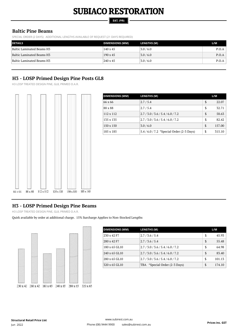#### **EST. 1981**

#### **Baltic Pine Beams**

SPECIAL ORDER (2 DAYS) ADDITIONAL LENGTHS AVAILABLE OF REQUEST (21 DAYS REQUIRED)

| <b>DETAILS</b>            | <b>DIMENSIONS (MM)</b> | LENGTHS (M) | L/M   |
|---------------------------|------------------------|-------------|-------|
| Baltic Laminated Beams H3 | $140 \times 45$        | 3.0/6.0     | P.O.A |
| Baltic Laminated Beams H3 | $190 \times 45$        | 3.0/6.0     | P.O.A |
| Baltic Laminated Beams H3 | 240 x 45               | 3.0/6.0     | P.O.A |

#### **H3 - LOSP Primed Design Pine Posts GL8**

H3 LOSP TREATED DESIGN PINE, GL8, PRIMED D.A.R.



| <b>DIMENSIONS (MM)</b> | LENGTHS (M)                                 | L/M          |
|------------------------|---------------------------------------------|--------------|
| 66 x 66                | 2.7/5.4                                     | \$<br>22.07  |
| 88 x 88                | 2.7/5.4                                     | \$<br>32.71  |
| $112 \times 112$       | 2.7/3.0/3.6/5.4/6.0/7.2                     | \$<br>58.63  |
| 135 x 135              | 2.7 / 3.0 / 3.6 / 5.4 / 6.0 / 7.2           | \$<br>82.42  |
| 150 x 150              | 3.0/6.0                                     | \$<br>157.00 |
| 185 x 185              | $5.4 / 6.0 / 7.2$ *Special Order (2-3 Days) | \$<br>315.10 |

#### **H3 - LOSP Primed Design Pine Beams**

H3 LOSP TREATED DESIGN PINE, GL8, PRIMED D.A.R.

Quirk available by order at additional charge. 15% Surcharge Applies to Non-Stocked Lengths



| <b>DIMENSIONS (MM)</b> | <b>LENGTHS (M)</b>                |    | L/M    |
|------------------------|-----------------------------------|----|--------|
| 230 x 42 F7            | 2.7/3.6/5.4                       | S  | 45.93  |
| 280 x 42 F7            | 2.7/3.6/5.4                       | \$ | 55.48  |
| 180 x 65 GL10          | 2.7 / 3.0 / 3.6 / 5.4 / 6.0 / 7.2 | \$ | 64.98  |
| 240 x 65 GL10          | 2.7/3.0/3.6/5.4/6.0/7.2           | S  | 83.40  |
| 280 x 65 GL10          | 2.7/3.0/3.6/5.4/6.0/7.2           | S  | 101.13 |
| 320 x 65 GL10          | TBA *Special Order (2-3 Days)     | \$ | 174.10 |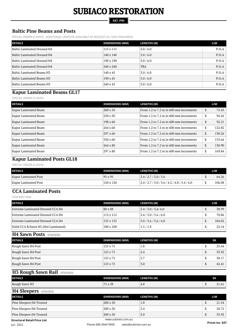#### **EST. 1981**

#### **Baltic Pine Beams and Posts**

SPECIAL ORDER (2 DAYS) ADDITIONAL LENGTHS AVAILABLE OF REQUEST (21 DAYS REQUIRED)

| <b>DETAILS</b>              | <b>DIMENSIONS (MM)</b> | <b>LENGTHS (M)</b> | L/M   |
|-----------------------------|------------------------|--------------------|-------|
| Baltic Laminated Dressed H4 | 115 x 115              | 3.0 / 6.0          | P.O.A |
| Baltic Laminated Dressed H4 | 140 x 140              | 3.0 / 6.0          | P.O.A |
| Baltic Laminated Dressed H4 | 190 x 190              | 3.0 / 6.0          | P.O.A |
| Baltic Laminated Dressed H4 | 240 x 240              | TBA                | P.O.A |
| Baltic Laminated Beams H3   | $140 \times 45$        | 3.0 / 6.0          | P.O.A |
| Baltic Laminated Beams H3   | $190 \times 45$        | 3.0/6.0            | P.O.A |
| Baltic Laminated Beams H3   | 240 x 45               | 3.0 / 6.0          | P.O.A |

#### **Kapur Laminated Beams GL17**

SPECIAL ORDER (2 DAYS)

| <b>DETAILS</b>       | <b>DIMENSIONS (MM)</b> | <b>LENGTHS (M)</b>                     |               | L/M    |
|----------------------|------------------------|----------------------------------------|---------------|--------|
| Kapur Laminated Beam | $200 \times 50$        | From 1.2 to 7.2 m in 600 mm increments | \$            | 75.45  |
| Kapur Laminated Beam | 250 x 50               | From 1.2 to 7.2 m in 600 mm increments | \$            | 94.26  |
| Kapur Laminated Beam | $198 \times 60$        | From 1.2 to 7.2 m in 600 mm increments | S             | 92.21  |
| Kapur Laminated Beam | $264 \times 60$        | From 1.2 to 7.2 m in 600 mm increments | S             | 122.82 |
| Kapur Laminated Beam | $297 \times 60$        | From 1.2 to 7.2 m in 600 mm increments | $\mathsf{\$}$ | 138.26 |
| Kapur Laminated Beam | $330 \times 60$        | From 1.2 to 7.2 m in 600 mm increments | \$            | 153.64 |
| Kapur Laminated Beam | 264 x 80               | From 1.2 to 7.2 m in 600 mm increments | \$            | 150.90 |
| Kapur Laminated Beam | 297 x 80               | From 1.2 to 7.2 m in 600 mm increments | \$            | 169.84 |

#### **Kapur Laminated Posts GL18**

SPECIAL ORDER (2 DAYS)

| <b>DETAILS</b>       | <b>DIMENSIONS (MM)</b> | LENGTHS (M)                      | L/M    |
|----------------------|------------------------|----------------------------------|--------|
| Kapur Laminated Post | $95 \times 95$         | $\left  2.4/2.7/3.0/3.6 \right $ | 64.26  |
| Kapur Laminated Post | 120 x 120              | 2.4/2.7/3.0/3.6/4.2/4.8/5.4/6.0  | 106.08 |

#### **CCA Laminated Posts**

STOCKED ITEM

| <b>DETAILS</b>                      | <b>DIMENSIONS (MM)</b> | <b>LENGTHS (M)</b>               | L/M    |
|-------------------------------------|------------------------|----------------------------------|--------|
| Extreme Laminated Dressed CCA H4    | 88 x 88                | $\left  2.4/3.0/3.6/6.0 \right $ | 38.99  |
| Extreme Laminated Dressed CCA H4    | $112 \times 112$       | 2.4/3.0/3.6/6.0                  | 70.86  |
| Extreme Laminated Dressed CCA H4    | 135 x 135              | 3.0 / 3.6 / 3.6 / 6.0            | 104.82 |
| Solid CCA R/Sawn H5 (Not Laminated) | $100 \times 100$       | 1.5/1.8                          | 22.14  |

#### **H4 Sawn Posts STOCKED**

| <b>DETAILS</b>     | <b>DIMENSIONS (MM)</b> | LENGTHS (M) | EA |       |
|--------------------|------------------------|-------------|----|-------|
| Rough Sawn H4 Post | 125 x 75               | 1.8         |    | 25.44 |
| Rough Sawn H4 Post | 125 x 75               | 2.4         |    | 33.92 |
| Rough Sawn H4 Post | 125 x 75               | 2.7         |    | 38.17 |
| Rough Sawn H4 Post | 125 x 75               | 3.0         |    | 42.41 |

#### **H3 Rough Sawn Rail STOCKED**

| <b>DETAILS</b>            | <b>DIMENSIONS (MM)</b>                      | <b>LENGTHS (M)</b>    | EA              |
|---------------------------|---------------------------------------------|-----------------------|-----------------|
| Rough Sawn H <sub>3</sub> | <b>75</b><br>$\sim$ $\sim$<br>$X$ JO<br>. J | $\prime\prime$<br>π.υ | $\sim$<br>41,01 |

#### **H4 Sleepers STOCKED**

| <b>DETAILS</b>               | <b>DIMENSIONS (MM)</b> | LENGTHS (M) |  | L/M   |
|------------------------------|------------------------|-------------|--|-------|
| Pine Sleepers H4 Treated     | $200 \times 50$        | 1.8         |  | 21.54 |
| Pine Sleepers H4 Treated     | $200 \times 50$        | 2.4         |  | 28.72 |
| Pine Sleepers H4 Treated     | $200 \times 50$        | 3.0         |  | 35.92 |
| Chruchural Dotail Drien Lict | www.subirest.com.au    |             |  |       |

**Structural Retail Price List**